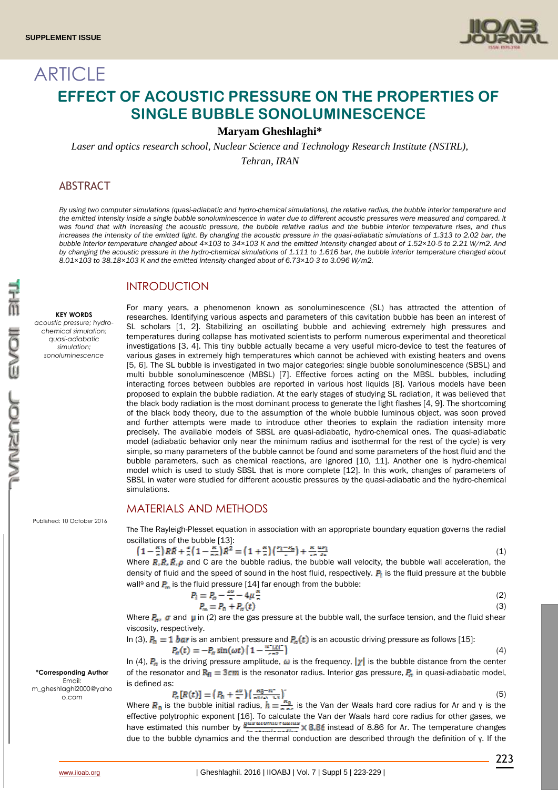**ARTICLE** 



# **EFFECT OF ACOUSTIC PRESSURE ON THE PROPERTIES OF SINGLE BUBBLE SONOLUMINESCENCE**

### **Maryam Gheshlaghi\***

*Laser and optics research school, Nuclear Science and Technology Research Institute (NSTRL),*

*Tehran, IRAN*

### ABSTRACT

*By using two computer simulations (quasi-adiabatic and hydro-chemical simulations), the relative radius, the bubble interior temperature and the emitted intensity inside a single bubble sonoluminescence in water due to different acoustic pressures were measured and compared. It was found that with increasing the acoustic pressure, the bubble relative radius and the bubble interior temperature rises, and thus*  increases the intensity of the emitted light. By changing the acoustic pressure in the quasi-adiabatic simulations of 1.313 to 2.02 bar, the *bubble interior temperature changed about 4×103 to 34×103 K and the emitted intensity changed about of 1.52×10-5 to 2.21 W/m2. And*  by changing the acoustic pressure in the hydro-chemical simulations of 1.111 to 1.616 bar, the bubble interior temperature changed about *8.01×103 to 38.18×103 K and the emitted intensity changed about of 6.73×10-3 to 3.096 W/m2.* 

### **INTRODUCTION**

**KEY WORDS**

*acoustic pressure; hydrochemical simulation; quasi-adiabatic simulation; sonoluminescence*

researches. Identifying various aspects and parameters of this cavitation bubble has been an interest of SL scholars [1, 2]. Stabilizing an oscillating bubble and achieving extremely high pressures and temperatures during collapse has motivated scientists to perform numerous experimental and theoretical investigations [3, 4]. This tiny bubble actually became a very useful micro-device to test the features of various gases in extremely high temperatures which cannot be achieved with existing heaters and ovens [5, 6]. The SL bubble is investigated in two major categories: single bubble sonoluminescence (SBSL) and multi bubble sonoluminescence (MBSL) [7]. Effective forces acting on the MBSL bubbles, including interacting forces between bubbles are reported in various host liquids [8]. Various models have been proposed to explain the bubble radiation. At the early stages of studying SL radiation, it was believed that the black body radiation is the most dominant process to generate the light flashes [4, 9]. The shortcoming of the black body theory, due to the assumption of the whole bubble luminous object, was soon proved and further attempts were made to introduce other theories to explain the radiation intensity more precisely. The available models of SBSL are quasi-adiabatic, hydro-chemical ones. The quasi-adiabatic model (adiabatic behavior only near the minimum radius and isothermal for the rest of the cycle) is very simple, so many parameters of the bubble cannot be found and some parameters of the host fluid and the bubble parameters, such as chemical reactions, are ignored [10, 11]. Another one is hydro-chemical model which is used to study SBSL that is more complete [12]. In this work, changes of parameters of SBSL in water were studied for different acoustic pressures by the quasi-adiabatic and the hydro-chemical simulations.

For many years, a phenomenon known as sonoluminescence (SL) has attracted the attention of

# MATERIALS AND METHODS

The The Rayleigh-Plesset equation in association with an appropriate boundary equation governs the radial oscillations of the bubble [13]:

$$
\left(1 - \frac{\kappa}{a}\right)R\ddot{R} + \frac{a}{a}\left(1 - \frac{\kappa}{a a}\right)\dot{R}^2 = \left(1 + \frac{\kappa}{a}\right)\left(\frac{r_1 - r_2}{a}\right) + \frac{\kappa}{a a} \frac{\alpha r_1}{a a} \tag{1}
$$

Where  $R, \dot{R}, \ddot{R}, \rho$  and C are the bubble radius, the bubble wall velocity, the bubble wall acceleration, the density of fluid and the speed of sound in the host fluid, respectively.  $P_i$  is the fluid pressure at the bubble wall<sup>9</sup> and  $P_n$  is the fluid pressure [14] far enough from the bubble:

$$
P_1 = P_n - \frac{2\omega}{n} - 4\mu \frac{\kappa}{n}
$$
  
\n
$$
P_n = P_0 + P_n(t)
$$
 (2)

Where  $P_a$ ,  $\sigma$  and  $\mu$  in (2) are the gas pressure at the bubble wall, the surface tension, and the fluid shear viscosity, respectively.

In (3), 
$$
P_0 = 1
$$
 bar is an ambient pressure and  $P_n(t)$  is an acoustic driving pressure as follows [15]:  

$$
P_n(t) = -P_n \sin(\omega t) \left(1 - \frac{\pi^2 |X|}{\sigma n^2}\right)
$$
(4)

In (4),  $P_a$  is the driving pressure amplitude,  $\omega$  is the frequency,  $|\chi|$  is the bubble distance from the center of the resonator and  $R_{\rm fl} = 3$ cm is the resonator radius. Interior gas pressure,  $P_{\rm fl}$  in quasi-adiabatic model, is defined as:

$$
P_n[R(t)] = \left(P_0 + \frac{40}{n}\right) \left(\frac{R_0 - R^2}{n^{3/2} \lambda - 1.5}\right) \tag{5}
$$

Where  $R_0$  is the bubble initial radius,  $h = \frac{R_0}{R_0}$  is the Van der Waals hard core radius for Ar and γ is the effective polytrophic exponent [16]. To calculate the Van der Waals hard core radius for other gases, we have estimated this number by  $\frac{y_{us} \times 10^{10} \text{ m} \cdot \text{m}}{4 \text{ m} \cdot \text{m} \cdot \text{m} \cdot \text{m} \cdot \text{m}} \times 8.86$  finstead of 8.86 for Ar. The temperature changes due to the bubble dynamics and the thermal conduction are described through the definition of γ. If the

Published: 10 October 2016

#### **\*Corresponding Author** Email: m\_gheshlaghi2000@yaho o.com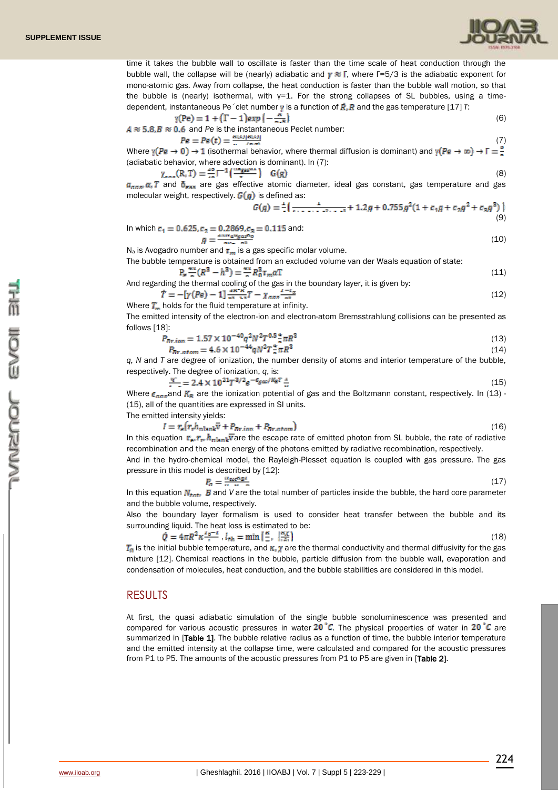

time it takes the bubble wall to oscillate is faster than the time scale of heat conduction through the bubble wall, the collapse will be (nearly) adiabatic and  $\gamma \approx \Gamma$ , where  $\Gamma = 5/3$  is the adiabatic exponent for mono-atomic gas. Away from collapse, the heat conduction is faster than the bubble wall motion, so that the bubble is (nearly) isothermal, with  $y=1$ . For the strong collapses of SL bubbles, using a timedependent, instantaneous Pe  $\acute{\ }$ clet number  $\gamma$  is a function of  $\vec{R}$ ,  $\vec{R}$  and the gas temperature [17] *T*:

$$
\gamma(\text{Pe}) = 1 + (\Gamma - 1) \exp\left(-\frac{\pi}{\pi \cdot \text{E}}\right)
$$
  
4 \approx 5.8,  $B \approx 0.6$  and *Pe* is the instantaneous Peclet number: (6)

$$
Pe = Pe(t) = \frac{\kappa(t) |R(t)|}{\kappa(t)} \tag{7}
$$

Where  $\gamma(Pe \to 0) \to 1$  (isothermal behavior, where thermal diffusion is dominant) and  $\gamma(Pe \to \infty) \to \Gamma = \frac{9}{5}$ (adiabatic behavior, where advection is dominant). In (7):

$$
\gamma_{\text{max}}(R, T) = \frac{m}{m} \Gamma^{-1} \left( \frac{mg_{\text{max}}}{r} \right) \quad G(g) \tag{8}
$$

 $a_{\text{max}}$   $\alpha$ , T and  $\delta_{\text{max}}$  are gas effective atomic diameter, ideal gas constant, gas temperature and gas molecular weight, respectively.  $G(q)$  is defined as:

$$
G(g) = \frac{1}{2} \left[ \frac{1}{1 + 1 + 1 + 1 + 2 + 3 + 1 + 3 + 4} + 1.2g + 0.755g^2(1 + c_1g + c_2g^2 + c_2g^3) \right]
$$
\n(9)

In which 
$$
c_1 = 0.625, c_2 = 0.2869, c_2 = 0.115
$$
 and:  
\n
$$
g = \frac{2.879 \text{ m/s}}{2(10)} = 0.115 \text{ m}.
$$
\n(10)

 $N_a$  is Avogadro number and  $\tau_m$  is a gas specific molar volume.

The bubble temperature is obtained from an excluded volume van der Waals equation of state:

$$
P_n \frac{4\pi}{n} (R^3 - h^3) = \frac{4\pi}{n} R_0^3 \tau_m a T
$$
\n(11)

And regarding the thermal cooling of the gas in the boundary layer, it is given by:<br> $\vec{T} = -\int v(Pe) - 1 \frac{4K^2 K}{r} T - \gamma_{\text{max}} \frac{dI - I_{\text{max}}}{r}$  $(12)$ 

Where 
$$
T_m
$$
 holds for the fluid temperature at infinity. The emitted intensity of the electron-ion and electron-atom.

follows [18]:

$$
P_{Rr,ion} = 1.57 \times 10^{-40} q^2 N^2 T^{0.5} \frac{4}{\pi} \pi R^3 \tag{13}
$$

$$
P_{Br.atom} = 4.6 \times 10^{-44} q N^2 T_{\pi}^2 \pi R^3 \tag{14}
$$

*q, N* and *T* are degree of ionization, the number density of atoms and interior temperature of the bubble, respectively. The degree of ionization, *q*, is:

$$
\frac{q}{\lambda} = 2.4 \times 10^{21} T^{3/2} e^{-\epsilon_{gas}/K_B T} \frac{1}{\lambda} \tag{15}
$$

Where  $\epsilon_{\text{max}}$  and  $K_R$  are the ionization potential of gas and the Boltzmann constant, respectively. In (13) -(15), all of the quantities are expressed in SI units.

The emitted intensity yields:

$$
I = r_s (r_r h_{\text{nlank}} \overline{v} + P_{Rr.ion} + P_{Rr.atom})
$$
\n(16)

In this equation  $r_{\rm e} r_{\rm m} h_{\rm nlnh}$  are the escape rate of emitted photon from SL bubble, the rate of radiative recombination and the mean energy of the photons emitted by radiative recombination, respectively.

And in the hydro-chemical model, the Rayleigh-Plesset equation is coupled with gas pressure. The gas pressure in this model is described by [12]:

$$
P_a = \frac{w_{\text{tot}} \kappa_{B} t}{w_{\text{tot}} \kappa_{B}} \tag{17}
$$

In this equation  $N_{\text{tot}}$ , **B** and *V* are the total number of particles inside the bubble, the hard core parameter and the bubble volume, respectively.

Also the boundary layer formalism is used to consider heat transfer between the bubble and its surrounding liquid. The heat loss is estimated to be:

$$
\dot{Q} = 4\pi R^2 \kappa \frac{I_0 - I}{I_0} \cdot I_{th} = \min\left(\frac{\kappa}{I_0} \cdot \frac{I_{th} \kappa}{I_{th}}\right) \tag{18}
$$

 $T_0$  is the initial bubble temperature, and  $\kappa$ ,  $\gamma$  are the thermal conductivity and thermal diffusivity for the gas mixture [12]. Chemical reactions in the bubble, particle diffusion from the bubble wall, evaporation and condensation of molecules, heat conduction, and the bubble stabilities are considered in this model.

### **RESULTS**

At first, the quasi adiabatic simulation of the single bubble sonoluminescence was presented and compared for various acoustic pressures in water 20 °C. The physical properties of water in 20 °C are summarized in [Table 1]. The bubble relative radius as a function of time, the bubble interior temperature and the emitted intensity at the collapse time, were calculated and compared for the acoustic pressures from P1 to P5. The amounts of the acoustic pressures from P1 to P5 are given in [Table 2].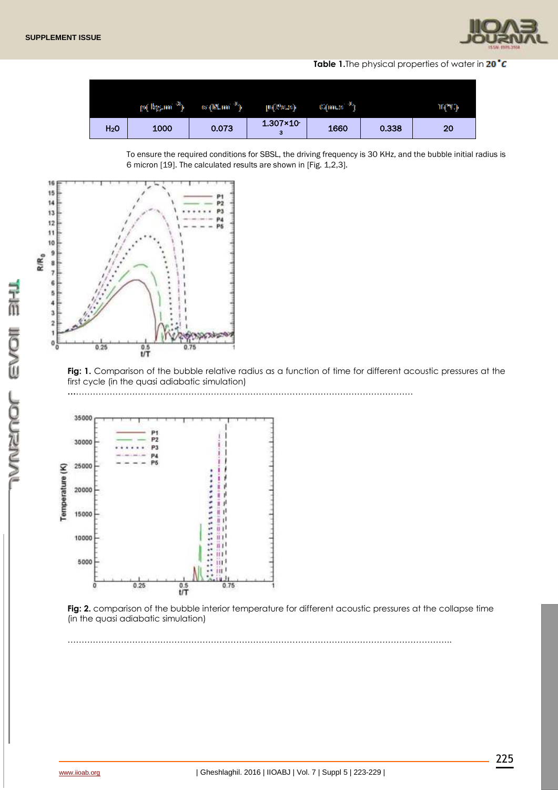

Table 1. The physical properties of water in 20<sup>t</sup>C

|                  | լով եր <sub>ն</sub> ում <sup>3</sup> ի | or (M. mi <sup>-11</sup> ) | րզթությ                     | $\mathbb{C}(m.s^{-1})$ |       | TGMG. |
|------------------|----------------------------------------|----------------------------|-----------------------------|------------------------|-------|-------|
| H <sub>2</sub> O | 1000                                   | 0.073                      | $1.307 \times 10^{-7}$<br>з | 1660                   | 0.338 | 20    |

To ensure the required conditions for SBSL, the driving frequency is 30 KHz, and the bubble initial radius is 6 micron [19]. The calculated results are shown in [Fig. 1,2,3].



Fig: 1. Comparison of the bubble relative radius as a function of time for different acoustic pressures at the first cycle (in the quasi adiabatic simulation)

**…**…………………………………………………………………………………………………………



**Fig: 2.** comparison of the bubble interior temperature for different acoustic pressures at the collapse time (in the quasi adiabatic simulation)

………………………………………………………………………………………………………………………..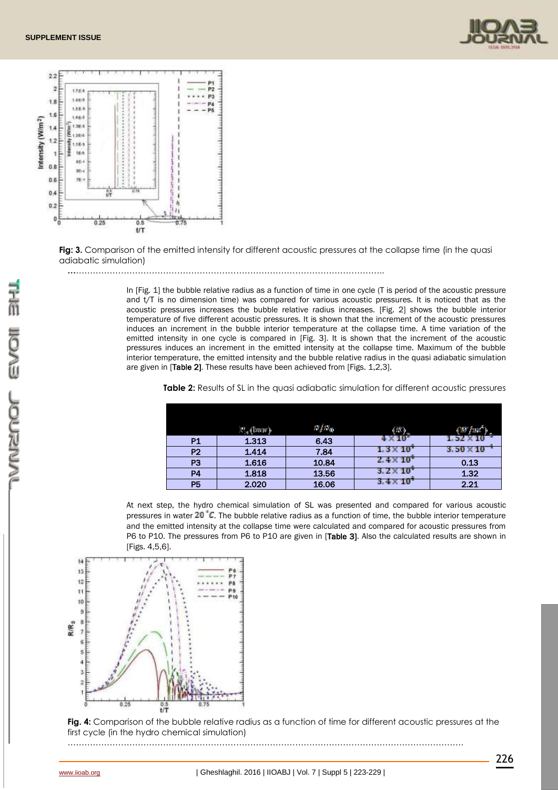



**Fig: 3.** Comparison of the emitted intensity for different acoustic pressures at the collapse time (in the quasi adiabatic simulation)

**…**………………………………………………………………………………………………..

In [Fig. 1] the bubble relative radius as a function of time in one cycle (T is period of the acoustic pressure and t/T is no dimension time) was compared for various acoustic pressures. It is noticed that as the acoustic pressures increases the bubble relative radius increases. [Fig. 2] shows the bubble interior temperature of five different acoustic pressures. It is shown that the increment of the acoustic pressures induces an increment in the bubble interior temperature at the collapse time. A time variation of the emitted intensity in one cycle is compared in [Fig. 3]. It is shown that the increment of the acoustic pressures induces an increment in the emitted intensity at the collapse time. Maximum of the bubble interior temperature, the emitted intensity and the bubble relative radius in the quasi adiabatic simulation are given in [Table 2]. These results have been achieved from [Figs. 1,2,3].

|  |  | <b>Table 2:</b> Results of SL in the quasi adiabatic simulation for different acoustic pressures |
|--|--|--------------------------------------------------------------------------------------------------|
|--|--|--------------------------------------------------------------------------------------------------|

|                | P., (baor) | IR / IR <sub>01</sub> |                      |            |
|----------------|------------|-----------------------|----------------------|------------|
| <b>P1</b>      | 1.313      | 6.43                  | $4\times10^5$        | x          |
| P <sub>2</sub> | 1.414      | 7.84                  | $1.3\times10^{-5}$   | 3. 50 X 10 |
| P <sub>3</sub> | 1.616      | 10.84                 | $2.4 \times 10^{-7}$ | 0.13       |
| P4             | 1.818      | 13.56                 | 10                   | 1.32       |
| <b>P5</b>      | 2.020      | 16.06                 | $3.4\times10^{-5}$   | 2.21       |

At next step, the hydro chemical simulation of SL was presented and compared for various acoustic pressures in water  $20\degree C$ . The bubble relative radius as a function of time, the bubble interior temperature and the emitted intensity at the collapse time were calculated and compared for acoustic pressures from P6 to P10. The pressures from P6 to P10 are given in [Table 3]. Also the calculated results are shown in [Figs. 4,5,6].



**Fig. 4:** Comparison of the bubble relative radius as a function of time for different acoustic pressures at the first cycle (in the hydro chemical simulation)

……………………………………………………………………………………………………………………………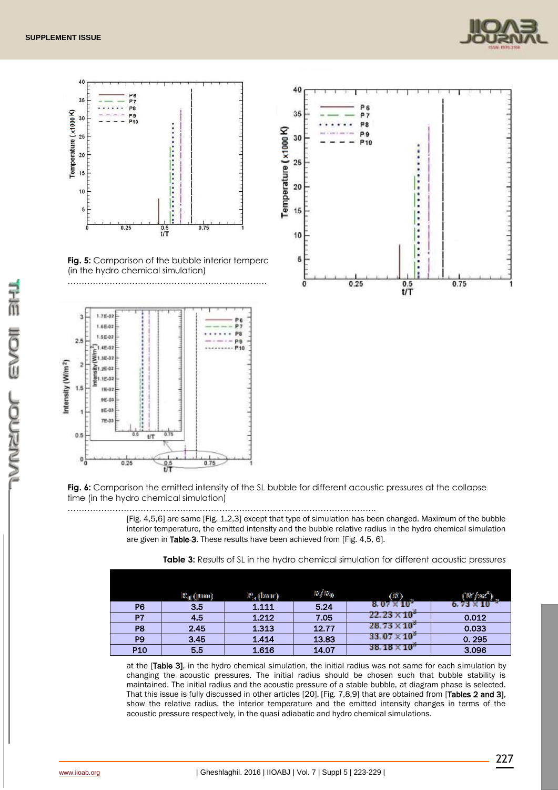



**Fig. 6:** Comparison the emitted intensity of the SL bubble for different acoustic pressures at the collapse time (in the hydro chemical simulation)

……………………………………………………………………………………………….. [Fig. 4,5,6] are same [Fig. 1,2,3] except that type of simulation has been changed. Maximum of the bubble interior temperature, the emitted intensity and the bubble relative radius in the hydro chemical simulation are given in Table-3. These results have been achieved from [Fig. 4,5, 6].

|                | K <sub>0</sub> (Jum) | 12, (baor) | RJ R <sub>0</sub> | (150)                  |                  |
|----------------|----------------------|------------|-------------------|------------------------|------------------|
| P <sub>6</sub> | 3.5                  | 1.111      | 5.24              | $8.07\times10^{5}$     | 6.73 $\times$ 10 |
| P7             | 4.5                  | 1.212      | 7.05              | $22.23 \times 10^3$    | 0.012            |
| P <sub>8</sub> | 2.45                 | 1.313      | 12.77             | $28.73 \times 10^{-7}$ | 0.033            |
| P <sub>9</sub> | 3.45                 | 1.414      | 13.83             | $33.07 \times 10^{-7}$ | 0.295            |
| <b>P10</b>     | 5.5                  | 1.616      | 14.07             | $38.18 \times 10^{5}$  | 3.096            |

at the [Table 3], in the hydro chemical simulation, the initial radius was not same for each simulation by changing the acoustic pressures. The initial radius should be chosen such that bubble stability is maintained. The initial radius and the acoustic pressure of a stable bubble, at diagram phase is selected. That this issue is fully discussed in other articles [20]. [Fig. 7,8,9] that are obtained from [Tables 2 and 3], show the relative radius, the interior temperature and the emitted intensity changes in terms of the acoustic pressure respectively, in the quasi adiabatic and hydro chemical simulations.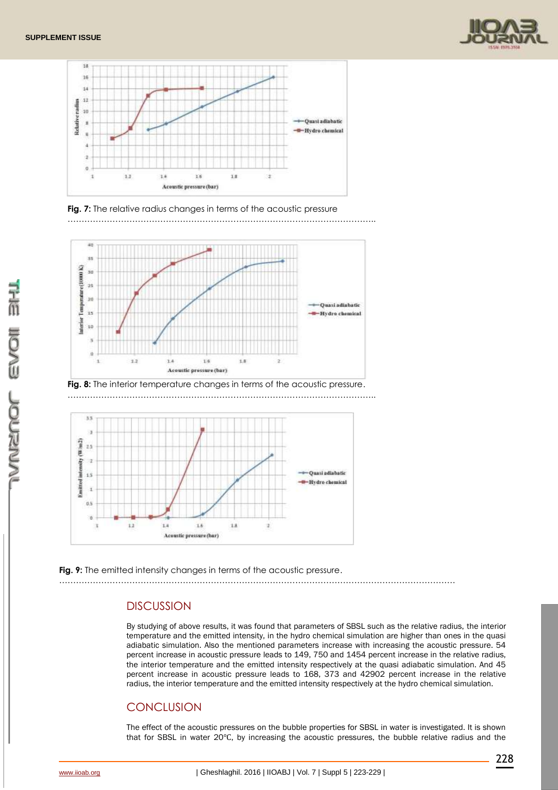







**Fig. 8:** The interior temperature changes in terms of the acoustic pressure. ………………………………………………………………………………………………..



Fig. 9: The emitted intensity changes in terms of the acoustic pressure. ……………………………………………………………………………………………………………………………

# **DISCUSSION**

By studying of above results, it was found that parameters of SBSL such as the relative radius, the interior temperature and the emitted intensity, in the hydro chemical simulation are higher than ones in the quasi adiabatic simulation. Also the mentioned parameters increase with increasing the acoustic pressure. 54 percent increase in acoustic pressure leads to 149, 750 and 1454 percent increase in the relative radius, the interior temperature and the emitted intensity respectively at the quasi adiabatic simulation. And 45 percent increase in acoustic pressure leads to 168, 373 and 42902 percent increase in the relative radius, the interior temperature and the emitted intensity respectively at the hydro chemical simulation.

# **CONCLUSION**

The effect of the acoustic pressures on the bubble properties for SBSL in water is investigated. It is shown that for SBSL in water 20℃, by increasing the acoustic pressures, the bubble relative radius and the